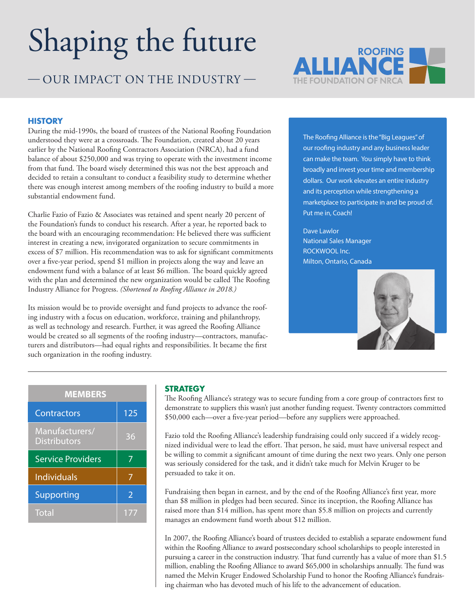# Shaping the future

— OUR IMPACT ON THE INDUSTRY —



#### **HISTORY**

During the mid-1990s, the board of trustees of the National Roofing Foundation understood they were at a crossroads. The Foundation, created about 20 years earlier by the National Roofing Contractors Association (NRCA), had a fund balance of about \$250,000 and was trying to operate with the investment income from that fund. The board wisely determined this was not the best approach and decided to retain a consultant to conduct a feasibility study to determine whether there was enough interest among members of the roofing industry to build a more substantial endowment fund.

Charlie Fazio of Fazio & Associates was retained and spent nearly 20 percent of the Foundation's funds to conduct his research. After a year, he reported back to the board with an encouraging recommendation: He believed there was sufficient interest in creating a new, invigorated organization to secure commitments in excess of \$7 million. His recommendation was to ask for significant commitments over a five-year period, spend \$1 million in projects along the way and leave an endowment fund with a balance of at least \$6 million. The board quickly agreed with the plan and determined the new organization would be called The Roofing Industry Alliance for Progress. *(Shortened to Roofing Alliance in 2018.)*

Its mission would be to provide oversight and fund projects to advance the roofing industry with a focus on education, workforce, training and philanthropy, as well as technology and research. Further, it was agreed the Roofing Alliance would be created so all segments of the roofing industry—contractors, manufacturers and distributors—had equal rights and responsibilities. It became the first such organization in the roofing industry.

The Roofing Alliance is the "Big Leagues" of our roofing industry and any business leader can make the team. You simply have to think broadly and invest your time and membership dollars. Our work elevates an entire industry and its perception while strengthening a marketplace to participate in and be proud of. Put me in, Coach!

Dave Lawlor National Sales Manager ROCKWOOL Inc. Milton, Ontario, Canada



| <b>MEMBERS</b>                        |                          |
|---------------------------------------|--------------------------|
| Contractors                           | 125                      |
| Manufacturers/<br><b>Distributors</b> | 36                       |
| <b>Service Providers</b>              | 7                        |
| <b>Individuals</b>                    | 7                        |
| Supporting                            | $\overline{\phantom{a}}$ |
| <b>Total</b>                          | 177                      |

### **STRATEGY**

The Roofing Alliance's strategy was to secure funding from a core group of contractors first to demonstrate to suppliers this wasn't just another funding request. Twenty contractors committed \$50,000 each—over a five-year period—before any suppliers were approached.

Fazio told the Roofing Alliance's leadership fundraising could only succeed if a widely recognized individual were to lead the effort. That person, he said, must have universal respect and be willing to commit a significant amount of time during the next two years. Only one person was seriously considered for the task, and it didn't take much for Melvin Kruger to be persuaded to take it on.

Fundraising then began in earnest, and by the end of the Roofing Alliance's first year, more than \$8 million in pledges had been secured. Since its inception, the Roofing Alliance has raised more than \$14 million, has spent more than \$5.8 million on projects and currently manages an endowment fund worth about \$12 million.

In 2007, the Roofing Alliance's board of trustees decided to establish a separate endowment fund within the Roofing Alliance to award postsecondary school scholarships to people interested in pursuing a career in the construction industry. That fund currently has a value of more than \$1.5 million, enabling the Roofing Alliance to award \$65,000 in scholarships annually. The fund was named the Melvin Kruger Endowed Scholarship Fund to honor the Roofing Alliance's fundraising chairman who has devoted much of his life to the advancement of education.